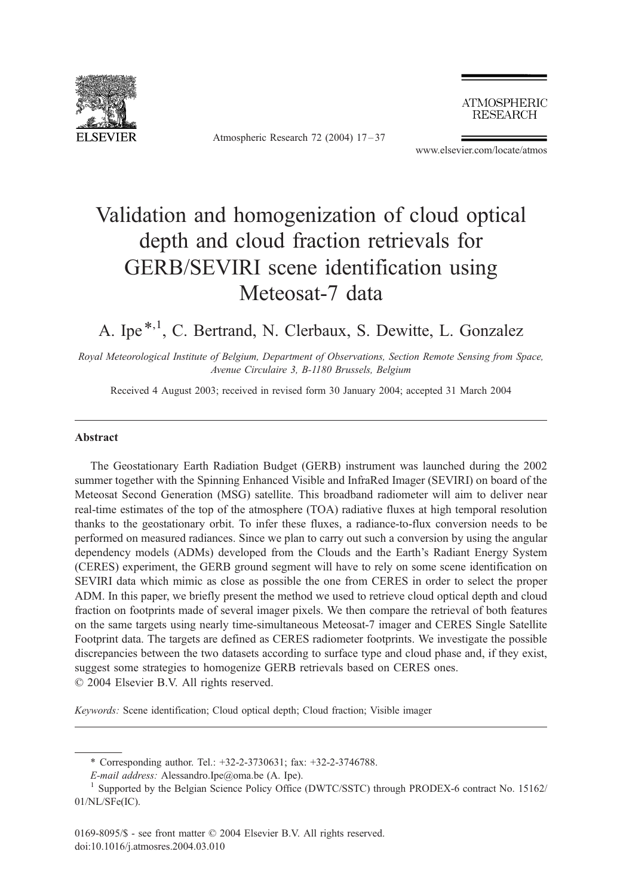

Atmospheric Research 72 (2004) 17 – 37

**ATMOSPHERIC RESEARCH** 

www.elsevier.com/locate/atmos

# Validation and homogenization of cloud optical depth and cloud fraction retrievals for GERB/SEVIRI scene identification using Meteosat-7 data

# A. Ipe<sup>\*,1</sup>, C. Bertrand, N. Clerbaux, S. Dewitte, L. Gonzalez

Royal Meteorological Institute of Belgium, Department of Observations, Section Remote Sensing from Space, Avenue Circulaire 3, B-1180 Brussels, Belgium

Received 4 August 2003; received in revised form 30 January 2004; accepted 31 March 2004

#### Abstract

The Geostationary Earth Radiation Budget (GERB) instrument was launched during the 2002 summer together with the Spinning Enhanced Visible and InfraRed Imager (SEVIRI) on board of the Meteosat Second Generation (MSG) satellite. This broadband radiometer will aim to deliver near real-time estimates of the top of the atmosphere (TOA) radiative fluxes at high temporal resolution thanks to the geostationary orbit. To infer these fluxes, a radiance-to-flux conversion needs to be performed on measured radiances. Since we plan to carry out such a conversion by using the angular dependency models (ADMs) developed from the Clouds and the Earth's Radiant Energy System (CERES) experiment, the GERB ground segment will have to rely on some scene identification on SEVIRI data which mimic as close as possible the one from CERES in order to select the proper ADM. In this paper, we briefly present the method we used to retrieve cloud optical depth and cloud fraction on footprints made of several imager pixels. We then compare the retrieval of both features on the same targets using nearly time-simultaneous Meteosat-7 imager and CERES Single Satellite Footprint data. The targets are defined as CERES radiometer footprints. We investigate the possible discrepancies between the two datasets according to surface type and cloud phase and, if they exist, suggest some strategies to homogenize GERB retrievals based on CERES ones.  $\odot$  2004 Elsevier B.V. All rights reserved.

Keywords: Scene identification; Cloud optical depth; Cloud fraction; Visible imager

<sup>\*</sup> Corresponding author. Tel.: +32-2-3730631; fax: +32-2-3746788.

E-mail address: Alessandro.Ipe@oma.be (A. Ipe).<br><sup>1</sup> Supported by the Belgian Science Policy Office (DWTC/SSTC) through PRODEX-6 contract No. 15162/ 01/NL/SFe(IC).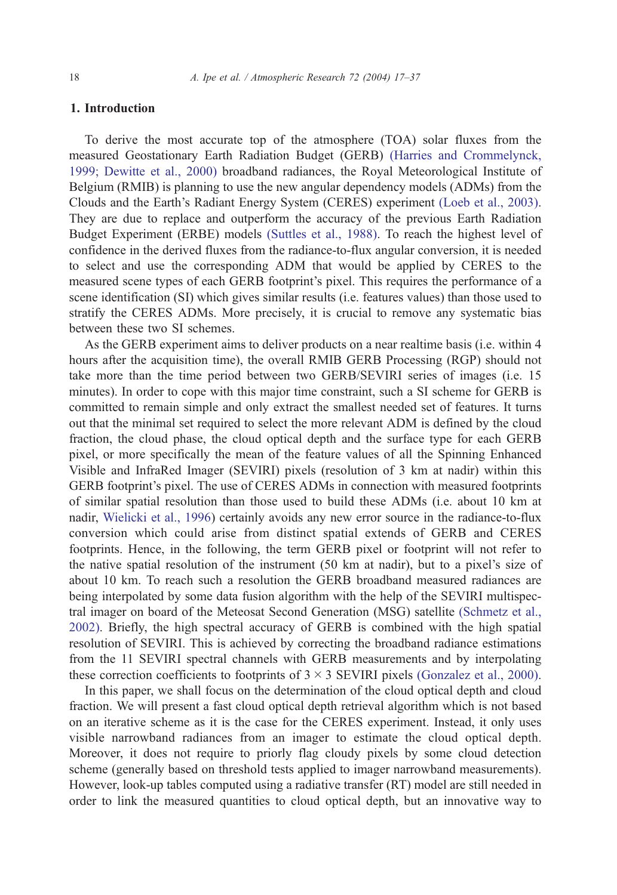# 1. Introduction

To derive the most accurate top of the atmosphere (TOA) solar fluxes from the measured Geostationary Earth Radiation Budget (GERB) [\(Harries and Crommelynck,](#page-19-0) 1999; Dewitte et al., 2000) broadband radiances, the Royal Meteorological Institute of Belgium (RMIB) is planning to use the new angular dependency models (ADMs) from the Clouds and the Earth's Radiant Energy System (CERES) experiment [\(Loeb et al., 2003\).](#page-19-0) They are due to replace and outperform the accuracy of the previous Earth Radiation Budget Experiment (ERBE) models [\(Suttles et al., 1988\).](#page-20-0) To reach the highest level of confidence in the derived fluxes from the radiance-to-flux angular conversion, it is needed to select and use the corresponding ADM that would be applied by CERES to the measured scene types of each GERB footprint's pixel. This requires the performance of a scene identification (SI) which gives similar results (i.e. features values) than those used to stratify the CERES ADMs. More precisely, it is crucial to remove any systematic bias between these two SI schemes.

As the GERB experiment aims to deliver products on a near realtime basis (i.e. within 4 hours after the acquisition time), the overall RMIB GERB Processing (RGP) should not take more than the time period between two GERB/SEVIRI series of images (i.e. 15 minutes). In order to cope with this major time constraint, such a SI scheme for GERB is committed to remain simple and only extract the smallest needed set of features. It turns out that the minimal set required to select the more relevant ADM is defined by the cloud fraction, the cloud phase, the cloud optical depth and the surface type for each GERB pixel, or more specifically the mean of the feature values of all the Spinning Enhanced Visible and InfraRed Imager (SEVIRI) pixels (resolution of 3 km at nadir) within this GERB footprint's pixel. The use of CERES ADMs in connection with measured footprints of similar spatial resolution than those used to build these ADMs (i.e. about 10 km at nadir, [Wielicki et al., 1996\)](#page-20-0) certainly avoids any new error source in the radiance-to-flux conversion which could arise from distinct spatial extends of GERB and CERES footprints. Hence, in the following, the term GERB pixel or footprint will not refer to the native spatial resolution of the instrument (50 km at nadir), but to a pixel's size of about 10 km. To reach such a resolution the GERB broadband measured radiances are being interpolated by some data fusion algorithm with the help of the SEVIRI multispectral imager on board of the Meteosat Second Generation (MSG) satellite [\(Schmetz et al.,](#page-20-0) 2002). Briefly, the high spectral accuracy of GERB is combined with the high spatial resolution of SEVIRI. This is achieved by correcting the broadband radiance estimations from the 11 SEVIRI spectral channels with GERB measurements and by interpolating these correction coefficients to footprints of  $3 \times 3$  SEVIRI pixels [\(Gonzalez et al., 2000\).](#page-19-0)

In this paper, we shall focus on the determination of the cloud optical depth and cloud fraction. We will present a fast cloud optical depth retrieval algorithm which is not based on an iterative scheme as it is the case for the CERES experiment. Instead, it only uses visible narrowband radiances from an imager to estimate the cloud optical depth. Moreover, it does not require to priorly flag cloudy pixels by some cloud detection scheme (generally based on threshold tests applied to imager narrowband measurements). However, look-up tables computed using a radiative transfer (RT) model are still needed in order to link the measured quantities to cloud optical depth, but an innovative way to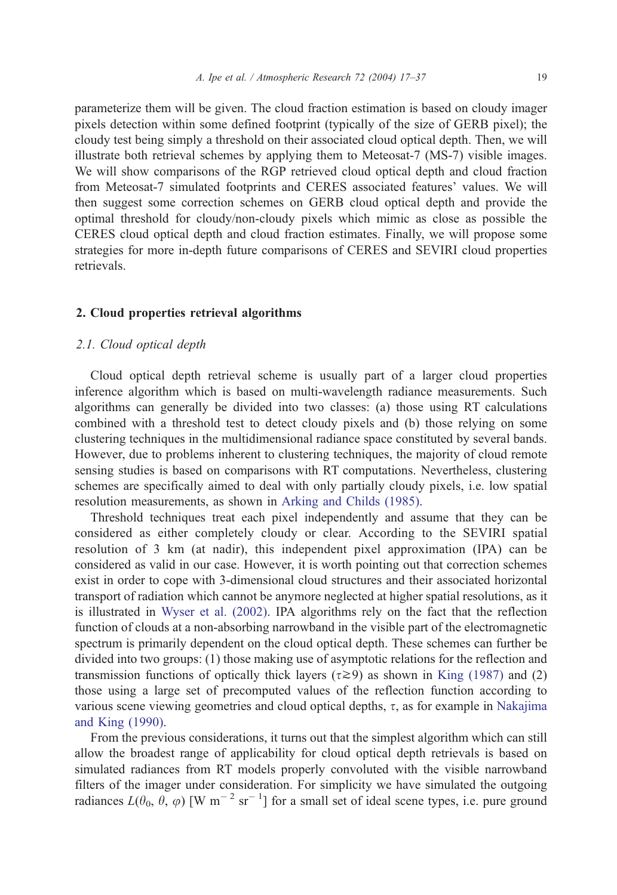parameterize them will be given. The cloud fraction estimation is based on cloudy imager pixels detection within some defined footprint (typically of the size of GERB pixel); the cloudy test being simply a threshold on their associated cloud optical depth. Then, we will illustrate both retrieval schemes by applying them to Meteosat-7 (MS-7) visible images. We will show comparisons of the RGP retrieved cloud optical depth and cloud fraction from Meteosat-7 simulated footprints and CERES associated features' values. We will then suggest some correction schemes on GERB cloud optical depth and provide the optimal threshold for cloudy/non-cloudy pixels which mimic as close as possible the CERES cloud optical depth and cloud fraction estimates. Finally, we will propose some strategies for more in-depth future comparisons of CERES and SEVIRI cloud properties retrievals.

#### 2. Cloud properties retrieval algorithms

## 2.1. Cloud optical depth

Cloud optical depth retrieval scheme is usually part of a larger cloud properties inference algorithm which is based on multi-wavelength radiance measurements. Such algorithms can generally be divided into two classes: (a) those using RT calculations combined with a threshold test to detect cloudy pixels and (b) those relying on some clustering techniques in the multidimensional radiance space constituted by several bands. However, due to problems inherent to clustering techniques, the majority of cloud remote sensing studies is based on comparisons with RT computations. Nevertheless, clustering schemes are specifically aimed to deal with only partially cloudy pixels, i.e. low spatial resolution measurements, as shown in [Arking and Childs \(1985\).](#page-19-0)

Threshold techniques treat each pixel independently and assume that they can be considered as either completely cloudy or clear. According to the SEVIRI spatial resolution of 3 km (at nadir), this independent pixel approximation (IPA) can be considered as valid in our case. However, it is worth pointing out that correction schemes exist in order to cope with 3-dimensional cloud structures and their associated horizontal transport of radiation which cannot be anymore neglected at higher spatial resolutions, as it is illustrated in [Wyser et al. \(2002\).](#page-20-0) IPA algorithms rely on the fact that the reflection function of clouds at a non-absorbing narrowband in the visible part of the electromagnetic spectrum is primarily dependent on the cloud optical depth. These schemes can further be divided into two groups: (1) those making use of asymptotic relations for the reflection and transmission functions of optically thick layers ( $\tau \geq 9$ ) as shown in [King \(1987\)](#page-19-0) and (2) those using a large set of precomputed values of the reflection function according to various scene viewing geometries and cloud optical depths,  $\tau$ , as for example in [Nakajima](#page-19-0) and King (1990).

From the previous considerations, it turns out that the simplest algorithm which can still allow the broadest range of applicability for cloud optical depth retrievals is based on simulated radiances from RT models properly convoluted with the visible narrowband filters of the imager under consideration. For simplicity we have simulated the outgoing radiances  $L(\theta_0, \theta, \varphi)$  [W m<sup>-2</sup> sr<sup>-1</sup>] for a small set of ideal scene types, i.e. pure ground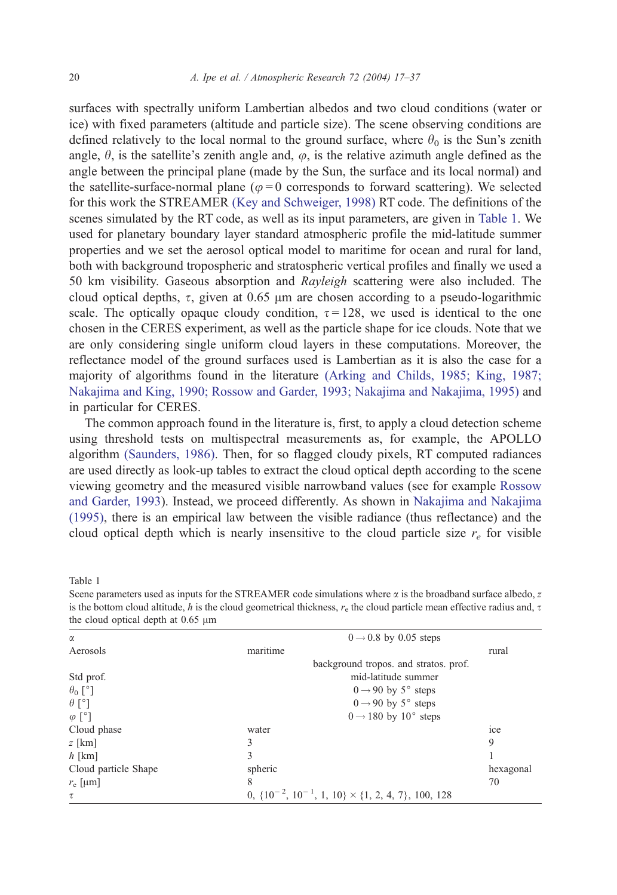<span id="page-3-0"></span>surfaces with spectrally uniform Lambertian albedos and two cloud conditions (water or ice) with fixed parameters (altitude and particle size). The scene observing conditions are defined relatively to the local normal to the ground surface, where  $\theta_0$  is the Sun's zenith angle,  $\theta$ , is the satellite's zenith angle and,  $\varphi$ , is the relative azimuth angle defined as the angle between the principal plane (made by the Sun, the surface and its local normal) and the satellite-surface-normal plane ( $\varphi = 0$  corresponds to forward scattering). We selected for this work the STREAMER [\(Key and Schweiger, 1998\)](#page-19-0) RT code. The definitions of the scenes simulated by the RT code, as well as its input parameters, are given in Table 1. We used for planetary boundary layer standard atmospheric profile the mid-latitude summer properties and we set the aerosol optical model to maritime for ocean and rural for land, both with background tropospheric and stratospheric vertical profiles and finally we used a 50 km visibility. Gaseous absorption and Rayleigh scattering were also included. The cloud optical depths,  $\tau$ , given at 0.65  $\mu$ m are chosen according to a pseudo-logarithmic scale. The optically opaque cloudy condition,  $\tau = 128$ , we used is identical to the one chosen in the CERES experiment, as well as the particle shape for ice clouds. Note that we are only considering single uniform cloud layers in these computations. Moreover, the reflectance model of the ground surfaces used is Lambertian as it is also the case for a majority of algorithms found in the literature [\(Arking and Childs, 1985; King, 1987;](#page-19-0) Nakajima and King, 1990; Rossow and Garder, 1993; Nakajima and Nakajima, 1995) and in particular for CERES.

The common approach found in the literature is, first, to apply a cloud detection scheme using threshold tests on multispectral measurements as, for example, the APOLLO algorithm [\(Saunders, 1986\).](#page-20-0) Then, for so flagged cloudy pixels, RT computed radiances are used directly as look-up tables to extract the cloud optical depth according to the scene viewing geometry and the measured visible narrowband values (see for example [Rossow](#page-20-0) and Garder, 1993). Instead, we proceed differently. As shown in [Nakajima and Nakajima](#page-20-0) (1995), there is an empirical law between the visible radiance (thus reflectance) and the cloud optical depth which is nearly insensitive to the cloud particle size  $r_e$  for visible

Table 1

Scene parameters used as inputs for the STREAMER code simulations where  $\alpha$  is the broadband surface albedo, z is the bottom cloud altitude, h is the cloud geometrical thickness,  $r_e$  the cloud particle mean effective radius and,  $\tau$ the cloud optical depth at  $0.65 \mu m$ 

| α                    |          | $0 \rightarrow 0.8$ by 0.05 steps                                 |                |
|----------------------|----------|-------------------------------------------------------------------|----------------|
| Aerosols             | maritime |                                                                   | rural          |
|                      |          | background tropos, and stratos, prof.                             |                |
| Std prof.            |          | mid-latitude summer                                               |                |
| $\theta_0$ [°]       |          | $0 \rightarrow 90$ by 5° steps                                    |                |
| $\theta$ [°]         |          | $0 \rightarrow 90$ by 5° steps                                    |                |
| $\varphi$ [°]        |          | $0 \rightarrow 180$ by $10^{\circ}$ steps                         |                |
| Cloud phase          | water    |                                                                   | <sub>1ce</sub> |
| $z$ [km]             | 3        |                                                                   | 9              |
| $h$ [km]             | 3        |                                                                   |                |
| Cloud particle Shape | spheric  |                                                                   | hexagonal      |
| $r_{\rm e}$ [µm]     | 8        |                                                                   | 70             |
| τ                    |          | 0, $\{10^{-2}, 10^{-1}, 1, 10\} \times \{1, 2, 4, 7\}$ , 100, 128 |                |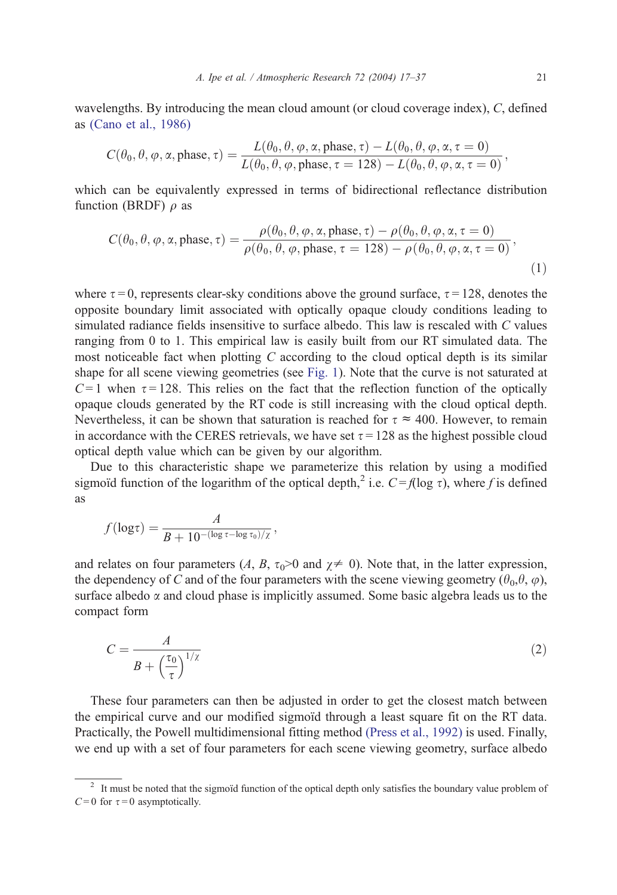wavelengths. By introducing the mean cloud amount (or cloud coverage index), C, defined as [\(Cano et al., 1986\)](#page-19-0)

$$
C(\theta_0, \theta, \varphi, \alpha, \text{phase}, \tau) = \frac{L(\theta_0, \theta, \varphi, \alpha, \text{phase}, \tau) - L(\theta_0, \theta, \varphi, \alpha, \tau = 0)}{L(\theta_0, \theta, \varphi, \text{phase}, \tau = 128) - L(\theta_0, \theta, \varphi, \alpha, \tau = 0)},
$$

which can be equivalently expressed in terms of bidirectional reflectance distribution function (BRDF)  $\rho$  as

$$
C(\theta_0, \theta, \varphi, \alpha, \text{phase}, \tau) = \frac{\rho(\theta_0, \theta, \varphi, \alpha, \text{phase}, \tau) - \rho(\theta_0, \theta, \varphi, \alpha, \tau = 0)}{\rho(\theta_0, \theta, \varphi, \text{phase}, \tau = 128) - \rho(\theta_0, \theta, \varphi, \alpha, \tau = 0)},
$$
\n(1)

where  $\tau = 0$ , represents clear-sky conditions above the ground surface,  $\tau = 128$ , denotes the opposite boundary limit associated with optically opaque cloudy conditions leading to simulated radiance fields insensitive to surface albedo. This law is rescaled with C values ranging from 0 to 1. This empirical law is easily built from our RT simulated data. The most noticeable fact when plotting C according to the cloud optical depth is its similar shape for all scene viewing geometries (see [Fig. 1\)](#page-5-0). Note that the curve is not saturated at  $C = 1$  when  $\tau = 128$ . This relies on the fact that the reflection function of the optically opaque clouds generated by the RT code is still increasing with the cloud optical depth. Nevertheless, it can be shown that saturation is reached for  $\tau \approx 400$ . However, to remain in accordance with the CERES retrievals, we have set  $\tau = 128$  as the highest possible cloud optical depth value which can be given by our algorithm.

Due to this characteristic shape we parameterize this relation by using a modified sigmoid function of the logarithm of the optical depth,<sup>2</sup> i.e.  $C = f(\log \tau)$ , where f is defined as

$$
f(\log \tau) = \frac{A}{B + 10^{-(\log \tau - \log \tau_0)/\chi}},
$$

and relates on four parameters (A, B,  $\tau_0$ >0 and  $\chi \neq 0$ ). Note that, in the latter expression, the dependency of C and of the four parameters with the scene viewing geometry  $(\theta_0, \theta, \varphi)$ , surface albedo  $\alpha$  and cloud phase is implicitly assumed. Some basic algebra leads us to the compact form

$$
C = \frac{A}{B + \left(\frac{\tau_0}{\tau}\right)^{1/\chi}}\tag{2}
$$

These four parameters can then be adjusted in order to get the closest match between the empirical curve and our modified sigmoïd through a least square fit on the RT data. Practically, the Powell multidimensional fitting method [\(Press et al., 1992\)](#page-20-0) is used. Finally, we end up with a set of four parameters for each scene viewing geometry, surface albedo

 $2\text{ I}$  It must be noted that the sigmoid function of the optical depth only satisfies the boundary value problem of  $C=0$  for  $\tau = 0$  asymptotically.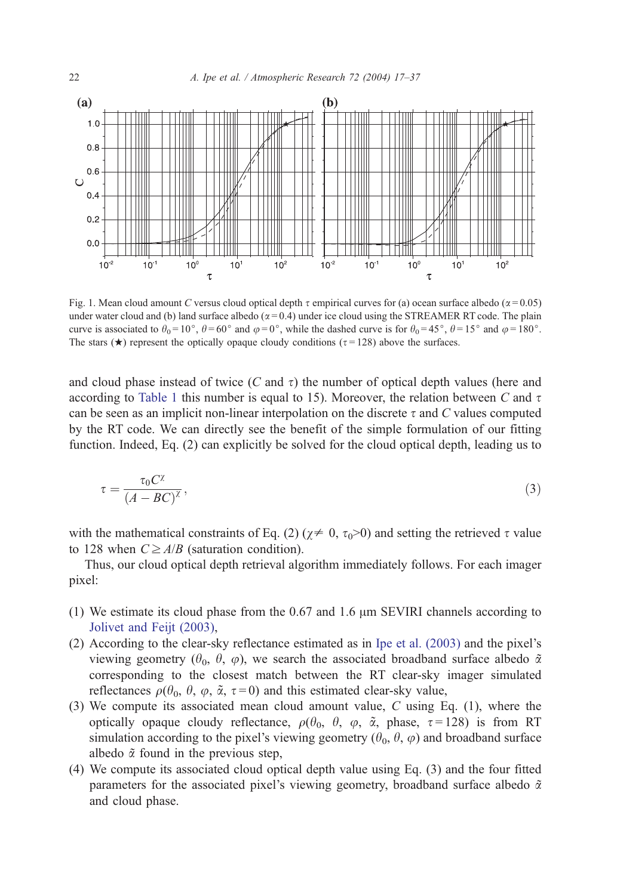

Fig. 1. Mean cloud amount C versus cloud optical depth  $\tau$  empirical curves for (a) ocean surface albedo ( $\alpha$ =0.05) under water cloud and (b) land surface albedo ( $\alpha = 0.4$ ) under ice cloud using the STREAMER RT code. The plain curve is associated to  $\theta_0 = 10^\circ$ ,  $\theta = 60^\circ$  and  $\varphi = 0^\circ$ , while the dashed curve is for  $\theta_0 = 45^\circ$ ,  $\theta = 15^\circ$  and  $\varphi = 180^\circ$ . The stars ( $\star$ ) represent the optically opaque cloudy conditions ( $\tau$ =128) above the surfaces.

and cloud phase instead of twice  $(C \text{ and } \tau)$  the number of optical depth values (here and according to [Table 1](#page-3-0) this number is equal to 15). Moreover, the relation between C and  $\tau$ can be seen as an implicit non-linear interpolation on the discrete  $\tau$  and C values computed by the RT code. We can directly see the benefit of the simple formulation of our fitting function. Indeed, Eq. (2) can explicitly be solved for the cloud optical depth, leading us to

$$
\tau = \frac{\tau_0 C^{\chi}}{(A - BC)^{\chi}},\tag{3}
$$

with the mathematical constraints of Eq. (2) ( $\chi \neq 0$ ,  $\tau_0$ >0) and setting the retrieved  $\tau$  value to 128 when  $C \geq A/B$  (saturation condition).

Thus, our cloud optical depth retrieval algorithm immediately follows. For each imager pixel:

- (1) We estimate its cloud phase from the  $0.67$  and  $1.6 \mu m$  SEVIRI channels according to [Jolivet and Feijt \(2003\),](#page-19-0)
- (2) According to the clear-sky reflectance estimated as in [Ipe et al. \(2003\)](#page-19-0) and the pixel's viewing geometry ( $\theta_0$ ,  $\theta$ ,  $\varphi$ ), we search the associated broadband surface albedo  $\tilde{\alpha}$ corresponding to the closest match between the RT clear-sky imager simulated reflectances  $\rho(\theta_0, \theta, \varphi, \tilde{\alpha}, \tau = 0)$  and this estimated clear-sky value,
- (3) We compute its associated mean cloud amount value, C using Eq. (1), where the optically opaque cloudy reflectance,  $\rho(\theta_0, \theta, \varphi, \tilde{\alpha}, \rho)$  hase,  $\tau = 128$ ) is from RT simulation according to the pixel's viewing geometry ( $\theta_0$ ,  $\theta$ ,  $\varphi$ ) and broadband surface albedo  $\tilde{\alpha}$  found in the previous step,
- (4) We compute its associated cloud optical depth value using Eq. (3) and the four fitted parameters for the associated pixel's viewing geometry, broadband surface albedo  $\tilde{\alpha}$ and cloud phase.

<span id="page-5-0"></span>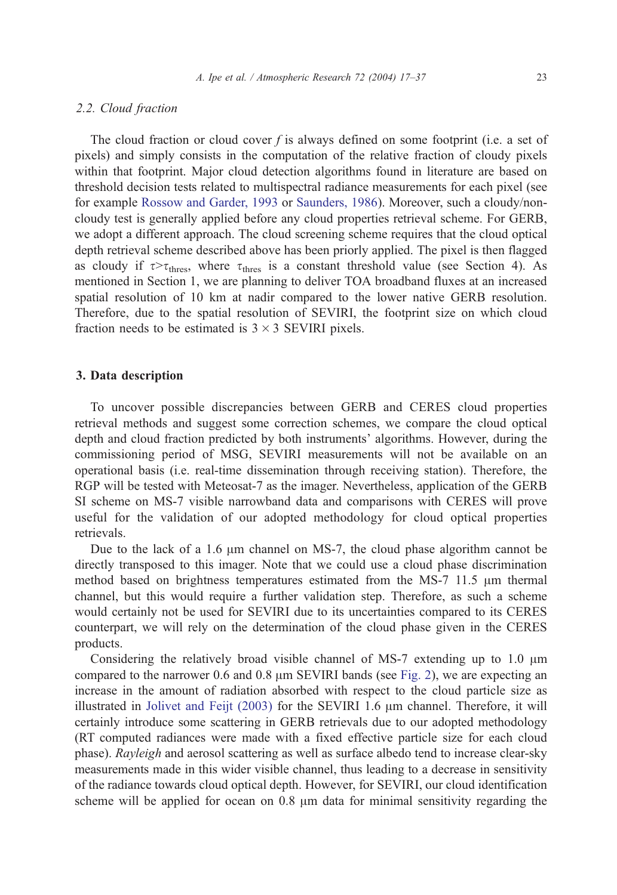#### 2.2. Cloud fraction

The cloud fraction or cloud cover  $f$  is always defined on some footprint (i.e. a set of pixels) and simply consists in the computation of the relative fraction of cloudy pixels within that footprint. Major cloud detection algorithms found in literature are based on threshold decision tests related to multispectral radiance measurements for each pixel (see for example [Rossow and Garder, 1993](#page-20-0) or [Saunders, 1986\)](#page-20-0). Moreover, such a cloudy/noncloudy test is generally applied before any cloud properties retrieval scheme. For GERB, we adopt a different approach. The cloud screening scheme requires that the cloud optical depth retrieval scheme described above has been priorly applied. The pixel is then flagged as cloudy if  $\tau > \tau_{\text{thres}}$ , where  $\tau_{\text{thres}}$  is a constant threshold value (see Section 4). As mentioned in Section 1, we are planning to deliver TOA broadband fluxes at an increased spatial resolution of 10 km at nadir compared to the lower native GERB resolution. Therefore, due to the spatial resolution of SEVIRI, the footprint size on which cloud fraction needs to be estimated is  $3 \times 3$  SEVIRI pixels.

#### 3. Data description

To uncover possible discrepancies between GERB and CERES cloud properties retrieval methods and suggest some correction schemes, we compare the cloud optical depth and cloud fraction predicted by both instruments' algorithms. However, during the commissioning period of MSG, SEVIRI measurements will not be available on an operational basis (i.e. real-time dissemination through receiving station). Therefore, the RGP will be tested with Meteosat-7 as the imager. Nevertheless, application of the GERB SI scheme on MS-7 visible narrowband data and comparisons with CERES will prove useful for the validation of our adopted methodology for cloud optical properties retrievals.

Due to the lack of a 1.6  $\mu$ m channel on MS-7, the cloud phase algorithm cannot be directly transposed to this imager. Note that we could use a cloud phase discrimination method based on brightness temperatures estimated from the MS-7  $11.5 \mu m$  thermal channel, but this would require a further validation step. Therefore, as such a scheme would certainly not be used for SEVIRI due to its uncertainties compared to its CERES counterpart, we will rely on the determination of the cloud phase given in the CERES products.

Considering the relatively broad visible channel of MS-7 extending up to  $1.0 \mu m$ compared to the narrower  $0.6$  and  $0.8 \mu m$  SEVIRI bands (see [Fig. 2\)](#page-7-0), we are expecting an increase in the amount of radiation absorbed with respect to the cloud particle size as illustrated in Jolivet and Feijt  $(2003)$  for the SEVIRI 1.6  $\mu$ m channel. Therefore, it will certainly introduce some scattering in GERB retrievals due to our adopted methodology (RT computed radiances were made with a fixed effective particle size for each cloud phase). Rayleigh and aerosol scattering as well as surface albedo tend to increase clear-sky measurements made in this wider visible channel, thus leading to a decrease in sensitivity of the radiance towards cloud optical depth. However, for SEVIRI, our cloud identification scheme will be applied for ocean on  $0.8 \mu m$  data for minimal sensitivity regarding the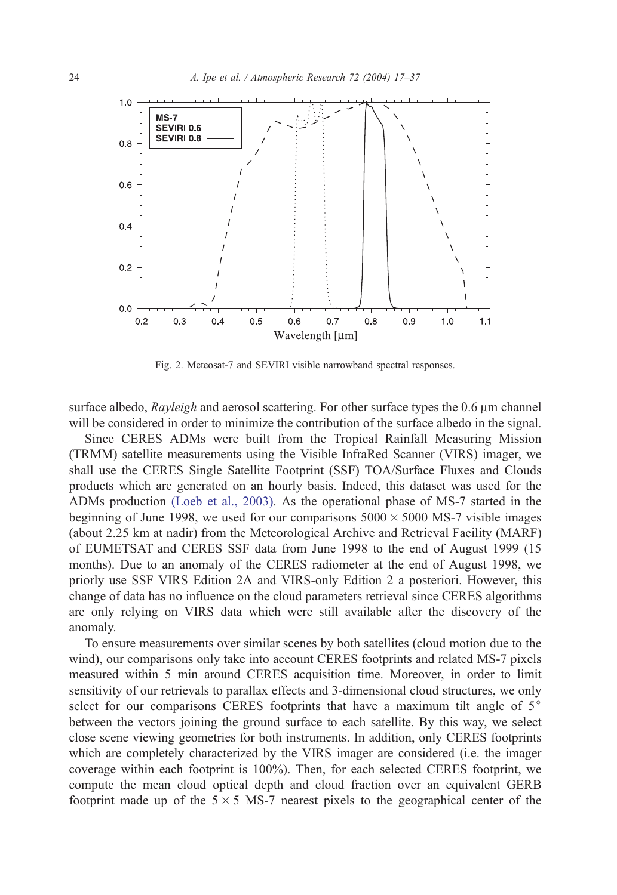<span id="page-7-0"></span>

Fig. 2. Meteosat-7 and SEVIRI visible narrowband spectral responses.

surface albedo,  $Rayleigh$  and aerosol scattering. For other surface types the 0.6  $\mu$ m channel will be considered in order to minimize the contribution of the surface albedo in the signal.

Since CERES ADMs were built from the Tropical Rainfall Measuring Mission (TRMM) satellite measurements using the Visible InfraRed Scanner (VIRS) imager, we shall use the CERES Single Satellite Footprint (SSF) TOA/Surface Fluxes and Clouds products which are generated on an hourly basis. Indeed, this dataset was used for the ADMs production [\(Loeb et al., 2003\).](#page-19-0) As the operational phase of MS-7 started in the beginning of June 1998, we used for our comparisons  $5000 \times 5000$  MS-7 visible images (about 2.25 km at nadir) from the Meteorological Archive and Retrieval Facility (MARF) of EUMETSAT and CERES SSF data from June 1998 to the end of August 1999 (15 months). Due to an anomaly of the CERES radiometer at the end of August 1998, we priorly use SSF VIRS Edition 2A and VIRS-only Edition 2 a posteriori. However, this change of data has no influence on the cloud parameters retrieval since CERES algorithms are only relying on VIRS data which were still available after the discovery of the anomaly.

To ensure measurements over similar scenes by both satellites (cloud motion due to the wind), our comparisons only take into account CERES footprints and related MS-7 pixels measured within 5 min around CERES acquisition time. Moreover, in order to limit sensitivity of our retrievals to parallax effects and 3-dimensional cloud structures, we only select for our comparisons CERES footprints that have a maximum tilt angle of  $5^\circ$ between the vectors joining the ground surface to each satellite. By this way, we select close scene viewing geometries for both instruments. In addition, only CERES footprints which are completely characterized by the VIRS imager are considered (i.e. the imager coverage within each footprint is 100%). Then, for each selected CERES footprint, we compute the mean cloud optical depth and cloud fraction over an equivalent GERB footprint made up of the  $5 \times 5$  MS-7 nearest pixels to the geographical center of the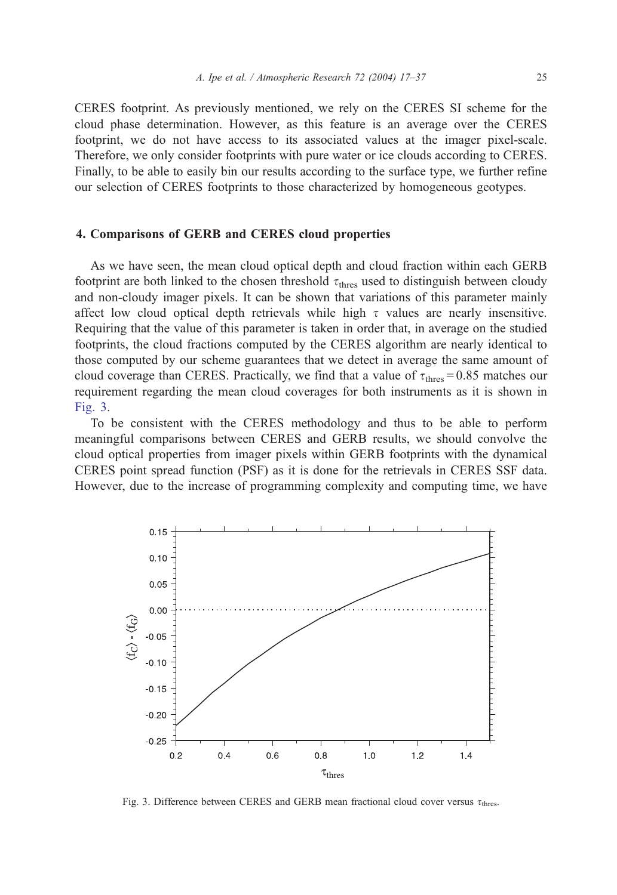CERES footprint. As previously mentioned, we rely on the CERES SI scheme for the cloud phase determination. However, as this feature is an average over the CERES footprint, we do not have access to its associated values at the imager pixel-scale. Therefore, we only consider footprints with pure water or ice clouds according to CERES. Finally, to be able to easily bin our results according to the surface type, we further refine our selection of CERES footprints to those characterized by homogeneous geotypes.

#### 4. Comparisons of GERB and CERES cloud properties

As we have seen, the mean cloud optical depth and cloud fraction within each GERB footprint are both linked to the chosen threshold  $\tau_{\text{thres}}$  used to distinguish between cloudy and non-cloudy imager pixels. It can be shown that variations of this parameter mainly affect low cloud optical depth retrievals while high  $\tau$  values are nearly insensitive. Requiring that the value of this parameter is taken in order that, in average on the studied footprints, the cloud fractions computed by the CERES algorithm are nearly identical to those computed by our scheme guarantees that we detect in average the same amount of cloud coverage than CERES. Practically, we find that a value of  $\tau_{\text{thres}} = 0.85$  matches our requirement regarding the mean cloud coverages for both instruments as it is shown in Fig. 3.

To be consistent with the CERES methodology and thus to be able to perform meaningful comparisons between CERES and GERB results, we should convolve the cloud optical properties from imager pixels within GERB footprints with the dynamical CERES point spread function (PSF) as it is done for the retrievals in CERES SSF data. However, due to the increase of programming complexity and computing time, we have



Fig. 3. Difference between CERES and GERB mean fractional cloud cover versus  $\tau_{\text{thres}}$ .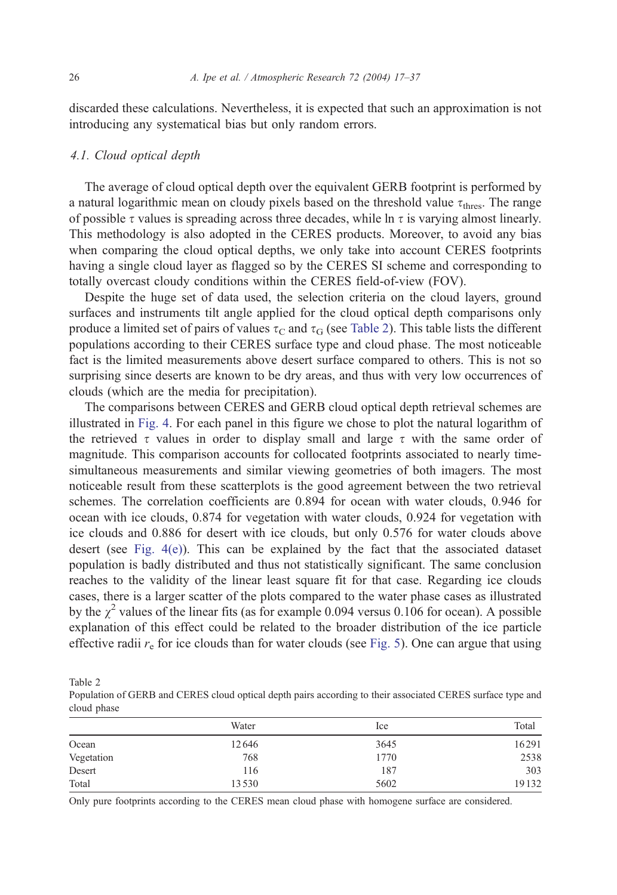discarded these calculations. Nevertheless, it is expected that such an approximation is not introducing any systematical bias but only random errors.

#### 4.1. Cloud optical depth

The average of cloud optical depth over the equivalent GERB footprint is performed by a natural logarithmic mean on cloudy pixels based on the threshold value  $\tau_{\text{thres}}$ . The range of possible  $\tau$  values is spreading across three decades, while ln  $\tau$  is varying almost linearly. This methodology is also adopted in the CERES products. Moreover, to avoid any bias when comparing the cloud optical depths, we only take into account CERES footprints having a single cloud layer as flagged so by the CERES SI scheme and corresponding to totally overcast cloudy conditions within the CERES field-of-view (FOV).

Despite the huge set of data used, the selection criteria on the cloud layers, ground surfaces and instruments tilt angle applied for the cloud optical depth comparisons only produce a limited set of pairs of values  $\tau_c$  and  $\tau_G$  (see Table 2). This table lists the different populations according to their CERES surface type and cloud phase. The most noticeable fact is the limited measurements above desert surface compared to others. This is not so surprising since deserts are known to be dry areas, and thus with very low occurrences of clouds (which are the media for precipitation).

The comparisons between CERES and GERB cloud optical depth retrieval schemes are illustrated in [Fig. 4.](#page-10-0) For each panel in this figure we chose to plot the natural logarithm of the retrieved  $\tau$  values in order to display small and large  $\tau$  with the same order of magnitude. This comparison accounts for collocated footprints associated to nearly timesimultaneous measurements and similar viewing geometries of both imagers. The most noticeable result from these scatterplots is the good agreement between the two retrieval schemes. The correlation coefficients are 0.894 for ocean with water clouds, 0.946 for ocean with ice clouds, 0.874 for vegetation with water clouds, 0.924 for vegetation with ice clouds and 0.886 for desert with ice clouds, but only 0.576 for water clouds above desert (see [Fig. 4\(e\)\)](#page-10-0). This can be explained by the fact that the associated dataset population is badly distributed and thus not statistically significant. The same conclusion reaches to the validity of the linear least square fit for that case. Regarding ice clouds cases, there is a larger scatter of the plots compared to the water phase cases as illustrated by the  $\chi^2$  values of the linear fits (as for example 0.094 versus 0.106 for ocean). A possible explanation of this effect could be related to the broader distribution of the ice particle effective radii  $r_e$  for ice clouds than for water clouds (see [Fig. 5\)](#page-12-0). One can argue that using

Table 2

Population of GERB and CERES cloud optical depth pairs according to their associated CERES surface type and cloud phase

|            | Water | Ice  | Total |
|------------|-------|------|-------|
| Ocean      | 12646 | 3645 | 16291 |
| Vegetation | 768   | 1770 | 2538  |
| Desert     | 116   | 187  | 303   |
| Total      | 13530 | 5602 | 19132 |

Only pure footprints according to the CERES mean cloud phase with homogene surface are considered.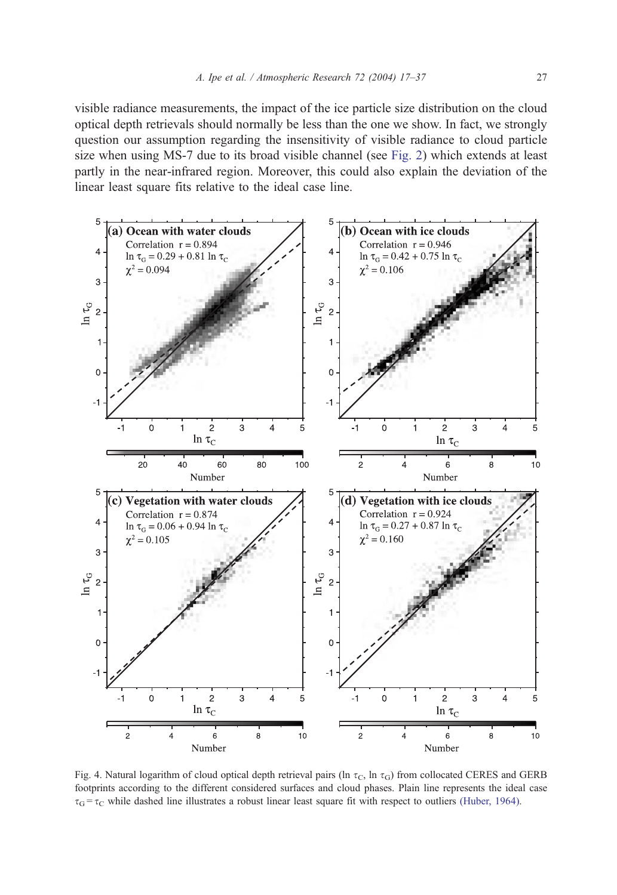<span id="page-10-0"></span>visible radiance measurements, the impact of the ice particle size distribution on the cloud optical depth retrievals should normally be less than the one we show. In fact, we strongly question our assumption regarding the insensitivity of visible radiance to cloud particle size when using MS-7 due to its broad visible channel (see [Fig. 2\)](#page-7-0) which extends at least partly in the near-infrared region. Moreover, this could also explain the deviation of the linear least square fits relative to the ideal case line.



Fig. 4. Natural logarithm of cloud optical depth retrieval pairs (ln  $\tau_c$ , ln  $\tau_G$ ) from collocated CERES and GERB footprints according to the different considered surfaces and cloud phases. Plain line represents the ideal case  $\tau_{\rm G} = \tau_{\rm C}$  while dashed line illustrates a robust linear least square fit with respect to outliers [\(Huber, 1964\).](#page-19-0)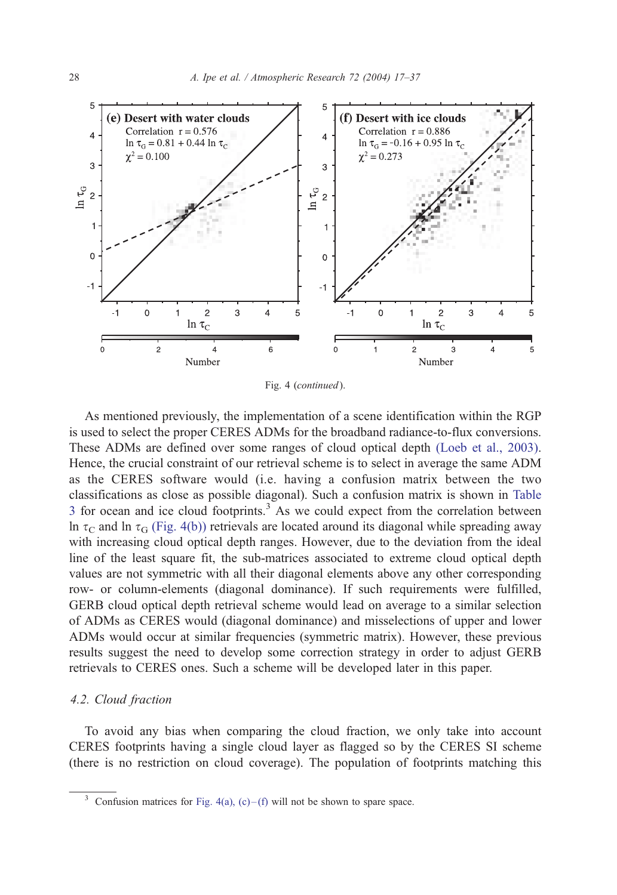

Fig. 4 (continued).

As mentioned previously, the implementation of a scene identification within the RGP is used to select the proper CERES ADMs for the broadband radiance-to-flux conversions. These ADMs are defined over some ranges of cloud optical depth [\(Loeb et al., 2003\).](#page-19-0) Hence, the crucial constraint of our retrieval scheme is to select in average the same ADM as the CERES software would (i.e. having a confusion matrix between the two classifications as close as possible diagonal). Such a confusion matrix is shown in [Table](#page-12-0) 3 for ocean and ice cloud footprints.<sup>3</sup> As we could expect from the correlation between ln  $\tau_{\rm G}$  and ln  $\tau_{\rm G}$  [\(Fig. 4\(b\)\)](#page-10-0) retrievals are located around its diagonal while spreading away with increasing cloud optical depth ranges. However, due to the deviation from the ideal line of the least square fit, the sub-matrices associated to extreme cloud optical depth values are not symmetric with all their diagonal elements above any other corresponding row- or column-elements (diagonal dominance). If such requirements were fulfilled, GERB cloud optical depth retrieval scheme would lead on average to a similar selection of ADMs as CERES would (diagonal dominance) and misselections of upper and lower ADMs would occur at similar frequencies (symmetric matrix). However, these previous results suggest the need to develop some correction strategy in order to adjust GERB retrievals to CERES ones. Such a scheme will be developed later in this paper.

#### 4.2. Cloud fraction

To avoid any bias when comparing the cloud fraction, we only take into account CERES footprints having a single cloud layer as flagged so by the CERES SI scheme (there is no restriction on cloud coverage). The population of footprints matching this

<sup>&</sup>lt;sup>3</sup> Confusion matrices for Fig. 4(a), (c)–(f) will not be shown to spare space.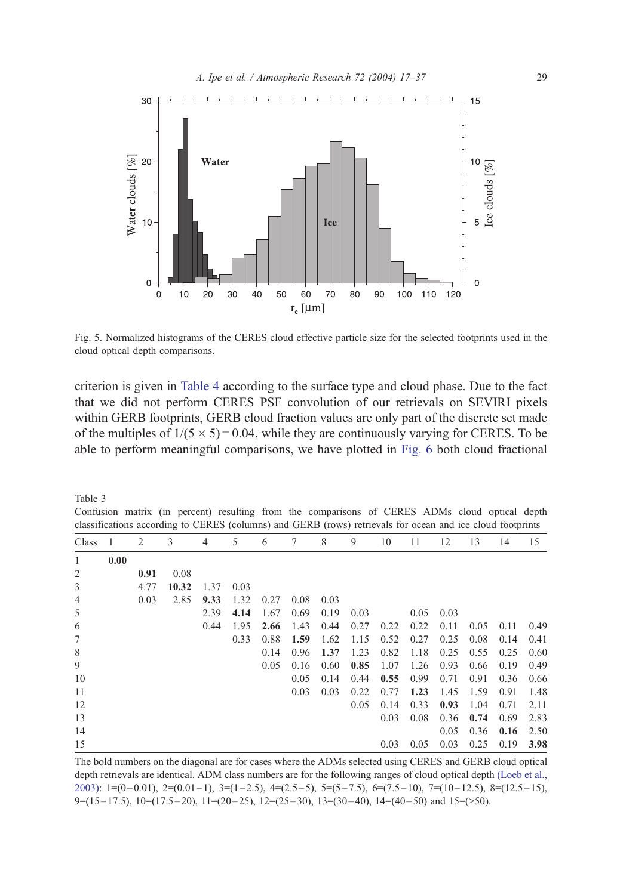<span id="page-12-0"></span>

Fig. 5. Normalized histograms of the CERES cloud effective particle size for the selected footprints used in the cloud optical depth comparisons.

criterion is given in [Table 4](#page-13-0) according to the surface type and cloud phase. Due to the fact that we did not perform CERES PSF convolution of our retrievals on SEVIRI pixels within GERB footprints, GERB cloud fraction values are only part of the discrete set made of the multiples of  $1/(5 \times 5) = 0.04$ , while they are continuously varying for CERES. To be able to perform meaningful comparisons, we have plotted in [Fig. 6](#page-14-0) both cloud fractional

Table 3

Confusion matrix (in percent) resulting from the comparisons of CERES ADMs cloud optical depth classifications according to CERES (columns) and GERB (rows) retrievals for ocean and ice cloud footprints

| Class  |      | 2    | 3     | 4    | 5    | 6    | 7    | 8    | 9    | 10   | 11   | 12   | 13   | 14   | 15   |
|--------|------|------|-------|------|------|------|------|------|------|------|------|------|------|------|------|
| 1      | 0.00 |      |       |      |      |      |      |      |      |      |      |      |      |      |      |
| 2      |      | 0.91 | 0.08  |      |      |      |      |      |      |      |      |      |      |      |      |
| 3      |      | 4.77 | 10.32 | 1.37 | 0.03 |      |      |      |      |      |      |      |      |      |      |
| 4      |      | 0.03 | 2.85  | 9.33 | 1.32 | 0.27 | 0.08 | 0.03 |      |      |      |      |      |      |      |
| 5      |      |      |       | 2.39 | 4.14 | 1.67 | 0.69 | 0.19 | 0.03 |      | 0.05 | 0.03 |      |      |      |
| 6      |      |      |       | 0.44 | 1.95 | 2.66 | 1.43 | 0.44 | 0.27 | 0.22 | 0.22 | 0.11 | 0.05 | 0.11 | 0.49 |
| $\tau$ |      |      |       |      | 0.33 | 0.88 | 1.59 | 1.62 | 1.15 | 0.52 | 0.27 | 0.25 | 0.08 | 0.14 | 0.41 |
| 8      |      |      |       |      |      | 0.14 | 0.96 | 1.37 | 1.23 | 0.82 | 1.18 | 0.25 | 0.55 | 0.25 | 0.60 |
| 9      |      |      |       |      |      | 0.05 | 0.16 | 0.60 | 0.85 | 1.07 | 1.26 | 0.93 | 0.66 | 0.19 | 0.49 |
| 10     |      |      |       |      |      |      | 0.05 | 0.14 | 0.44 | 0.55 | 0.99 | 0.71 | 0.91 | 0.36 | 0.66 |
| 11     |      |      |       |      |      |      | 0.03 | 0.03 | 0.22 | 0.77 | 1.23 | 1.45 | 1.59 | 0.91 | 1.48 |
| 12     |      |      |       |      |      |      |      |      | 0.05 | 0.14 | 0.33 | 0.93 | 1.04 | 0.71 | 2.11 |
| 13     |      |      |       |      |      |      |      |      |      | 0.03 | 0.08 | 0.36 | 0.74 | 0.69 | 2.83 |
| 14     |      |      |       |      |      |      |      |      |      |      |      | 0.05 | 0.36 | 0.16 | 2.50 |
| 15     |      |      |       |      |      |      |      |      |      | 0.03 | 0.05 | 0.03 | 0.25 | 0.19 | 3.98 |

The bold numbers on the diagonal are for cases where the ADMs selected using CERES and GERB cloud optical [depth retrievals are identical. ADM class numbers are for the following ranges of cloud optical depth](#page-19-0) (Loeb et al., 2003):  $1=(0-0.01)$ ,  $2=(0.01-1)$ ,  $3=(1-2.5)$ ,  $4=(2.5-5)$ ,  $5=(5-7.5)$ ,  $6=(7.5-10)$ ,  $7=(10-12.5)$ ,  $8=(12.5-15)$ ,  $9=(15-17.5), 10=(17.5-20), 11=(20-25), 12=(25-30), 13=(30-40), 14=(40-50)$  and  $15=(>50).$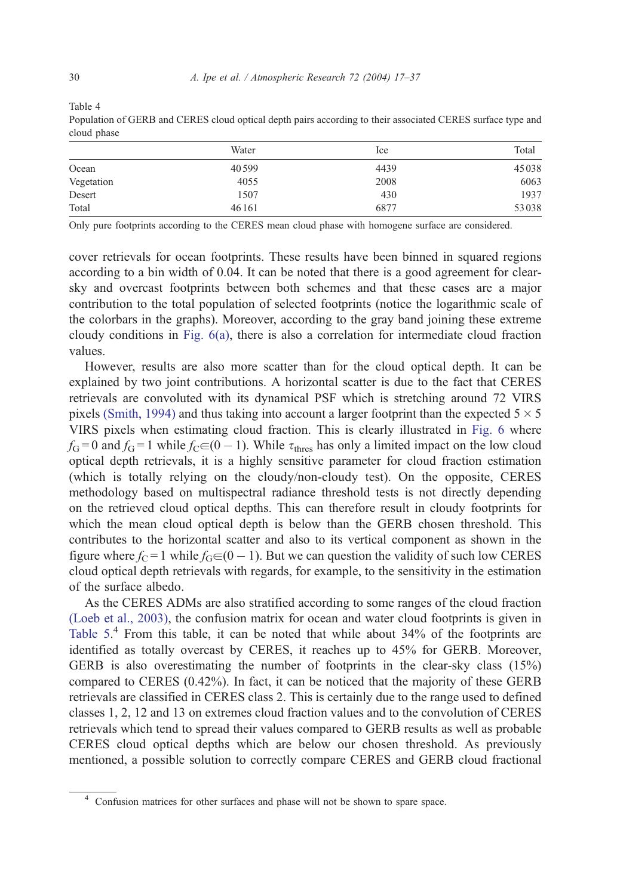<span id="page-13-0"></span>Table 4

Population of GERB and CERES cloud optical depth pairs according to their associated CERES surface type and cloud phase

|            | Water | Ice  | Total |
|------------|-------|------|-------|
| Ocean      | 40599 | 4439 | 45038 |
| Vegetation | 4055  | 2008 | 6063  |
| Desert     | 1507  | 430  | 1937  |
| Total      | 46161 | 6877 | 53038 |

Only pure footprints according to the CERES mean cloud phase with homogene surface are considered.

cover retrievals for ocean footprints. These results have been binned in squared regions according to a bin width of 0.04. It can be noted that there is a good agreement for clearsky and overcast footprints between both schemes and that these cases are a major contribution to the total population of selected footprints (notice the logarithmic scale of the colorbars in the graphs). Moreover, according to the gray band joining these extreme cloudy conditions in [Fig. 6\(a\),](#page-14-0) there is also a correlation for intermediate cloud fraction values.

However, results are also more scatter than for the cloud optical depth. It can be explained by two joint contributions. A horizontal scatter is due to the fact that CERES retrievals are convoluted with its dynamical PSF which is stretching around 72 VIRS pixels [\(Smith, 1994\)](#page-20-0) and thus taking into account a larger footprint than the expected  $5 \times 5$ VIRS pixels when estimating cloud fraction. This is clearly illustrated in [Fig. 6](#page-14-0) where  $f_{\rm G} = 0$  and  $f_{\rm G} = 1$  while  $f_{\rm C} \in (0 - 1)$ . While  $\tau_{\rm thres}$  has only a limited impact on the low cloud optical depth retrievals, it is a highly sensitive parameter for cloud fraction estimation (which is totally relying on the cloudy/non-cloudy test). On the opposite, CERES methodology based on multispectral radiance threshold tests is not directly depending on the retrieved cloud optical depths. This can therefore result in cloudy footprints for which the mean cloud optical depth is below than the GERB chosen threshold. This contributes to the horizontal scatter and also to its vertical component as shown in the figure where  $f_C = 1$  while  $f_G \in (0 - 1)$ . But we can question the validity of such low CERES cloud optical depth retrievals with regards, for example, to the sensitivity in the estimation of the surface albedo.

As the CERES ADMs are also stratified according to some ranges of the cloud fraction [\(Loeb et al., 2003\),](#page-19-0) the confusion matrix for ocean and water cloud footprints is given in [Table 5.](#page-15-0)<sup>4</sup> From this table, it can be noted that while about 34% of the footprints are identified as totally overcast by CERES, it reaches up to 45% for GERB. Moreover, GERB is also overestimating the number of footprints in the clear-sky class (15%) compared to CERES (0.42%). In fact, it can be noticed that the majority of these GERB retrievals are classified in CERES class 2. This is certainly due to the range used to defined classes 1, 2, 12 and 13 on extremes cloud fraction values and to the convolution of CERES retrievals which tend to spread their values compared to GERB results as well as probable CERES cloud optical depths which are below our chosen threshold. As previously mentioned, a possible solution to correctly compare CERES and GERB cloud fractional

<sup>4</sup> Confusion matrices for other surfaces and phase will not be shown to spare space.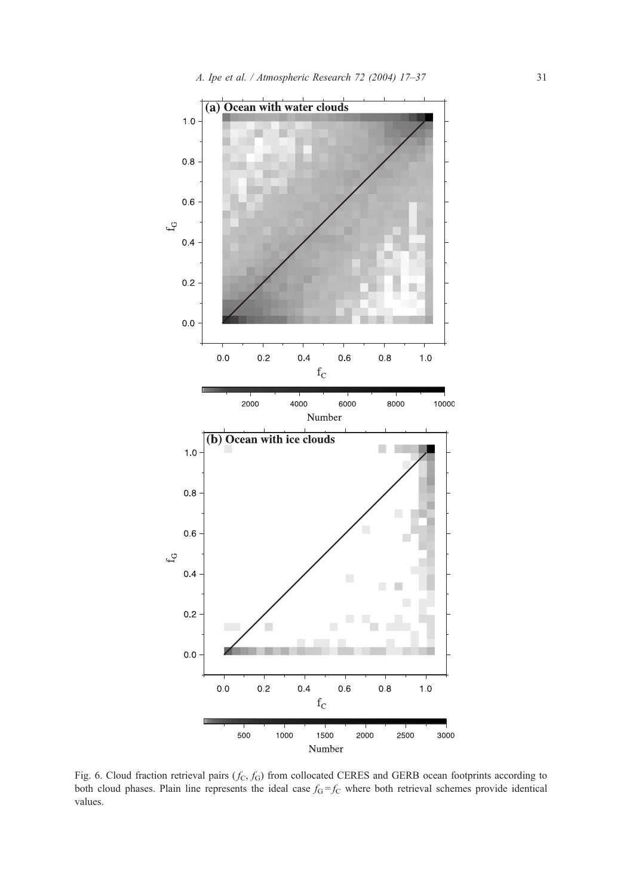<span id="page-14-0"></span>

Fig. 6. Cloud fraction retrieval pairs  $(f_c, f_d)$  from collocated CERES and GERB ocean footprints according to both cloud phases. Plain line represents the ideal case  $f_G = f_C$  where both retrieval schemes provide identical values.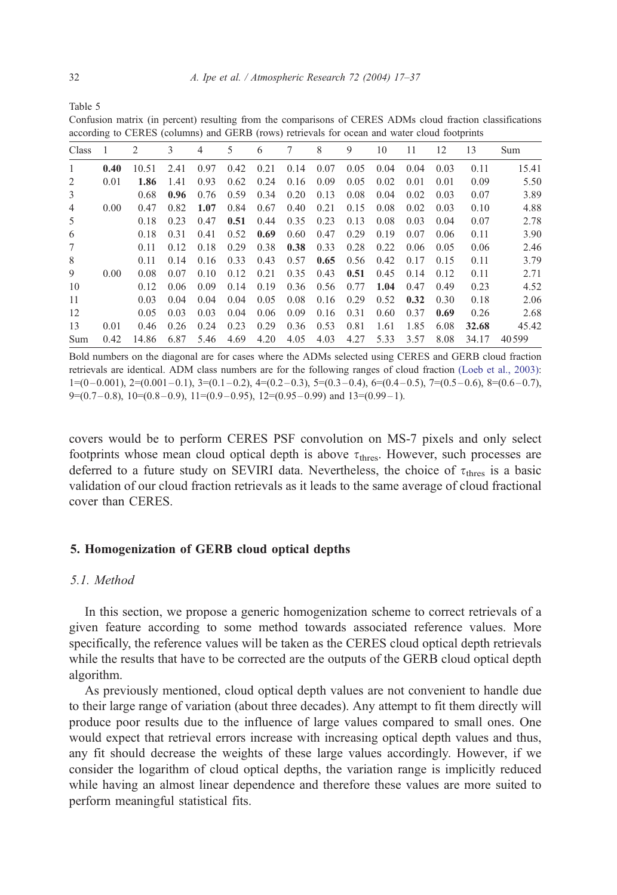<span id="page-15-0"></span>Table 5

Confusion matrix (in percent) resulting from the comparisons of CERES ADMs cloud fraction classifications according to CERES (columns) and GERB (rows) retrievals for ocean and water cloud footprints

| Class          |      | 2     | 3    | 4    | 5    | 6    | 7    | 8    | 9           | 10   | 11   | 12   | 13    | Sum   |
|----------------|------|-------|------|------|------|------|------|------|-------------|------|------|------|-------|-------|
| $\mathbf{1}$   | 0.40 | 10.51 | 2.41 | 0.97 | 0.42 | 0.21 | 0.14 | 0.07 | 0.05        | 0.04 | 0.04 | 0.03 | 0.11  | 15.41 |
| 2              | 0.01 | 1.86  | 1.41 | 0.93 | 0.62 | 0.24 | 0.16 | 0.09 | 0.05        | 0.02 | 0.01 | 0.01 | 0.09  | 5.50  |
| 3              |      | 0.68  | 0.96 | 0.76 | 0.59 | 0.34 | 0.20 | 0.13 | 0.08        | 0.04 | 0.02 | 0.03 | 0.07  | 3.89  |
| $\overline{4}$ | 0.00 | 0.47  | 0.82 | 1.07 | 0.84 | 0.67 | 0.40 | 0.21 | 0.15        | 0.08 | 0.02 | 0.03 | 0.10  | 4.88  |
| 5              |      | 0.18  | 0.23 | 0.47 | 0.51 | 0.44 | 0.35 | 0.23 | 0.13        | 0.08 | 0.03 | 0.04 | 0.07  | 2.78  |
| 6              |      | 0.18  | 0.31 | 0.41 | 0.52 | 0.69 | 0.60 | 0.47 | 0.29        | 0.19 | 0.07 | 0.06 | 0.11  | 3.90  |
| 7              |      | 0.11  | 0.12 | 0.18 | 0.29 | 0.38 | 0.38 | 0.33 | 0.28        | 0.22 | 0.06 | 0.05 | 0.06  | 2.46  |
| 8              |      | 0.11  | 0.14 | 0.16 | 0.33 | 0.43 | 0.57 | 0.65 | $0.56$ 0.42 |      | 0.17 | 0.15 | 0.11  | 3.79  |
| 9              | 0.00 | 0.08  | 0.07 | 0.10 | 0.12 | 0.21 | 0.35 | 0.43 | 0.51        | 0.45 | 0.14 | 0.12 | 0.11  | 2.71  |
| 10             |      | 0.12  | 0.06 | 0.09 | 0.14 | 0.19 | 0.36 | 0.56 | $0.77$ 1.04 |      | 0.47 | 0.49 | 0.23  | 4.52  |
| 11             |      | 0.03  | 0.04 | 0.04 | 0.04 | 0.05 | 0.08 | 0.16 | 0.29        | 0.52 | 0.32 | 0.30 | 0.18  | 2.06  |
| 12             |      | 0.05  | 0.03 | 0.03 | 0.04 | 0.06 | 0.09 | 0.16 | 0.31        | 0.60 | 0.37 | 0.69 | 0.26  | 2.68  |
| 13             | 0.01 | 0.46  | 0.26 | 0.24 | 0.23 | 0.29 | 0.36 | 0.53 | 0.81        | 1.61 | 1.85 | 6.08 | 32.68 | 45.42 |
| Sum            | 0.42 | 14.86 | 6.87 | 5.46 | 4.69 | 4.20 | 4.05 | 4.03 | 4.27        | 5.33 | 3.57 | 8.08 | 34.17 | 40599 |

Bold numbers on the diagonal are for cases where the ADMs selected using CERES and GERB cloud fraction [retrievals are identical. ADM class numbers are for the following ranges of cloud fraction](#page-19-0) (Loeb et al., 2003):  $1=(0-0.001)$ ,  $2=(0.001-0.1)$ ,  $3=(0.1-0.2)$ ,  $4=(0.2-0.3)$ ,  $5=(0.3-0.4)$ ,  $6=(0.4-0.5)$ ,  $7=(0.5-0.6)$ ,  $8=(0.6-0.7)$ ,  $9=(0.7-0.8), 10=(0.8-0.9), 11=(0.9-0.95), 12=(0.95-0.99)$  and  $13=(0.99-1).$ 

covers would be to perform CERES PSF convolution on MS-7 pixels and only select footprints whose mean cloud optical depth is above  $\tau_{\text{thres}}$ . However, such processes are deferred to a future study on SEVIRI data. Nevertheless, the choice of  $\tau_{\text{thres}}$  is a basic validation of our cloud fraction retrievals as it leads to the same average of cloud fractional cover than CERES.

# 5. Homogenization of GERB cloud optical depths

# 5.1. Method

In this section, we propose a generic homogenization scheme to correct retrievals of a given feature according to some method towards associated reference values. More specifically, the reference values will be taken as the CERES cloud optical depth retrievals while the results that have to be corrected are the outputs of the GERB cloud optical depth algorithm.

As previously mentioned, cloud optical depth values are not convenient to handle due to their large range of variation (about three decades). Any attempt to fit them directly will produce poor results due to the influence of large values compared to small ones. One would expect that retrieval errors increase with increasing optical depth values and thus, any fit should decrease the weights of these large values accordingly. However, if we consider the logarithm of cloud optical depths, the variation range is implicitly reduced while having an almost linear dependence and therefore these values are more suited to perform meaningful statistical fits.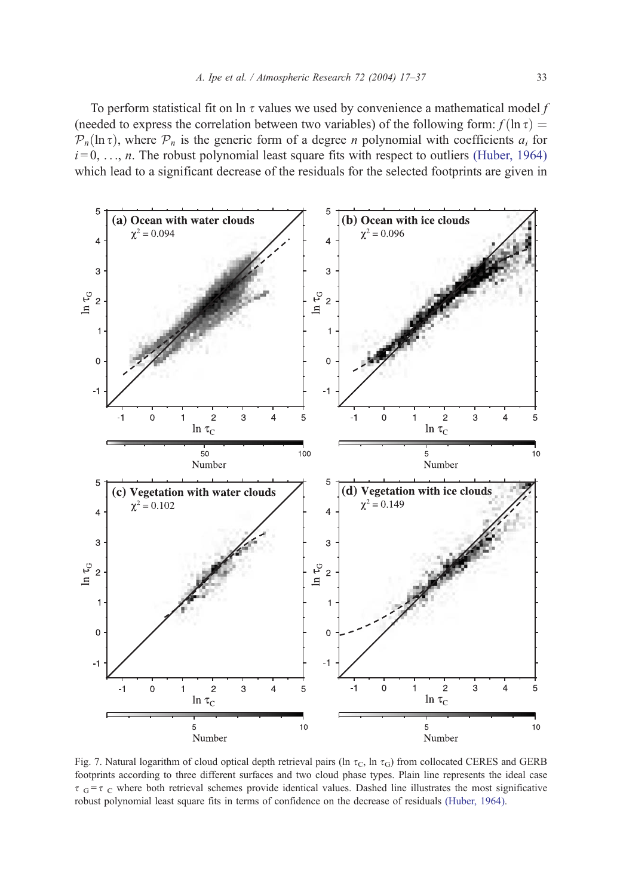<span id="page-16-0"></span>To perform statistical fit on ln  $\tau$  values we used by convenience a mathematical model f (needed to express the correlation between two variables) of the following form:  $f(\ln \tau) =$  $\mathcal{P}_n(\ln \tau)$ , where  $\mathcal{P}_n$  is the generic form of a degree *n* polynomial with coefficients  $a_i$  for  $i = 0, \ldots, n$ . The robust polynomial least square fits with respect to outliers [\(Huber, 1964\)](#page-19-0) which lead to a significant decrease of the residuals for the selected footprints are given in



Fig. 7. Natural logarithm of cloud optical depth retrieval pairs (ln  $\tau_c$ , ln  $\tau_d$ ) from collocated CERES and GERB footprints according to three different surfaces and two cloud phase types. Plain line represents the ideal case  $\tau$  G =  $\tau$  C where both retrieval schemes provide identical values. Dashed line illustrates the most significative robust polynomial least square fits in terms of confidence on the decrease of residuals [\(Huber, 1964\).](#page-19-0)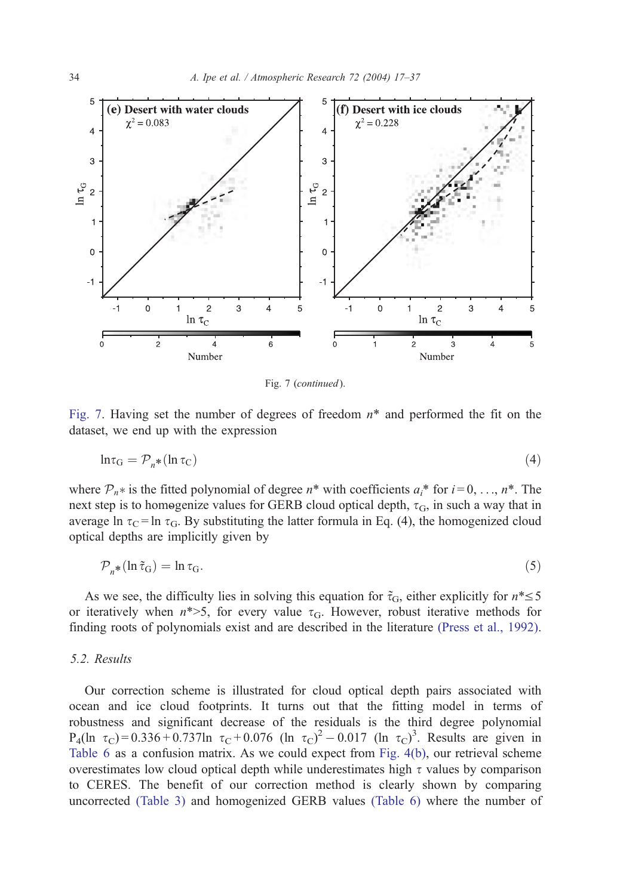

Fig. 7 (continued).

[Fig. 7](#page-16-0). Having set the number of degrees of freedom  $n^*$  and performed the fit on the dataset, we end up with the expression

$$
\ln \tau_{\rm G} = \mathcal{P}_n * (\ln \tau_{\rm C}) \tag{4}
$$

where  $\mathcal{P}_n^*$  is the fitted polynomial of degree  $n^*$  with coefficients  $a_i^*$  for  $i = 0, \ldots, n^*$ . The next step is to homogenize values for GERB cloud optical depth,  $\tau$ <sub>G</sub>, in such a way that in average ln  $\tau_c$  = ln  $\tau_G$ . By substituting the latter formula in Eq. (4), the homogenized cloud optical depths are implicitly given by

$$
\mathcal{P}_n * (\ln \tilde{\tau}_G) = \ln \tau_G. \tag{5}
$$

As we see, the difficulty lies in solving this equation for  $\tilde{\tau}_G$ , either explicitly for  $n^* \leq 5$ or iteratively when  $n^*$ >5, for every value  $\tau$ G. However, robust iterative methods for finding roots of polynomials exist and are described in the literature [\(Press et al., 1992\).](#page-20-0)

## 5.2. Results

Our correction scheme is illustrated for cloud optical depth pairs associated with ocean and ice cloud footprints. It turns out that the fitting model in terms of robustness and significant decrease of the residuals is the third degree polynomial  $P_4(\ln \tau_C) = 0.336 + 0.737 \ln \tau_C + 0.076 (\ln \tau_C)^2 - 0.017 (\ln \tau_C)^3$ . Results are given in [Table 6](#page-18-0) as a confusion matrix. As we could expect from [Fig. 4\(b\),](#page-10-0) our retrieval scheme overestimates low cloud optical depth while underestimates high  $\tau$  values by comparison to CERES. The benefit of our correction method is clearly shown by comparing uncorrected [\(Table 3\)](#page-12-0) and homogenized GERB values [\(Table 6\)](#page-18-0) where the number of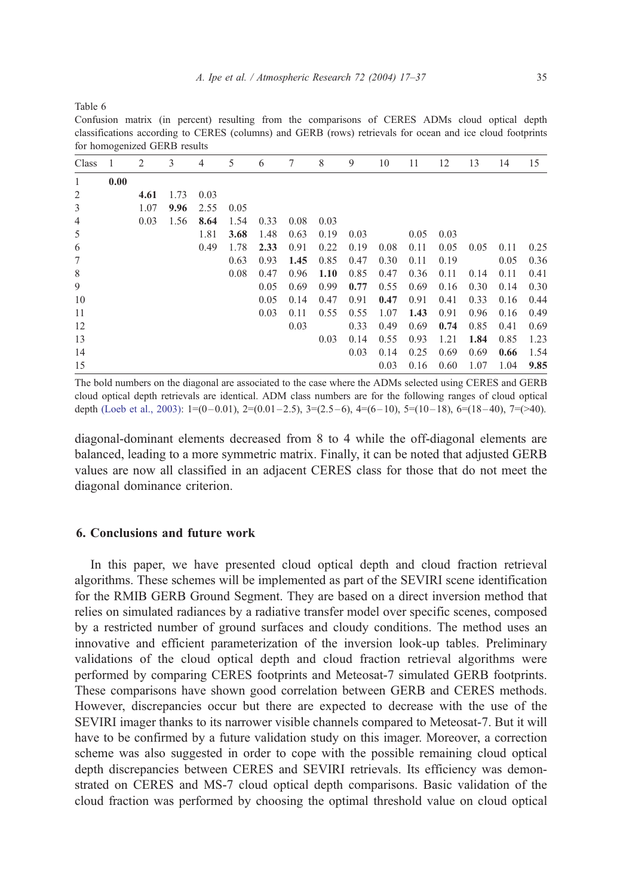<span id="page-18-0"></span>Table 6

Confusion matrix (in percent) resulting from the comparisons of CERES ADMs cloud optical depth classifications according to CERES (columns) and GERB (rows) retrievals for ocean and ice cloud footprints for homogenized GERB results

| Class          | -1   | 2    | 3    | 4    | 5    | 6    | 7    | 8    | 9    | 10   | 11   | 12   | 13   | 14   | 15   |
|----------------|------|------|------|------|------|------|------|------|------|------|------|------|------|------|------|
| 1              | 0.00 |      |      |      |      |      |      |      |      |      |      |      |      |      |      |
| $\overline{2}$ |      | 4.61 | 1.73 | 0.03 |      |      |      |      |      |      |      |      |      |      |      |
| 3              |      | 1.07 | 9.96 | 2.55 | 0.05 |      |      |      |      |      |      |      |      |      |      |
| $\overline{4}$ |      | 0.03 | 1.56 | 8.64 | 1.54 | 0.33 | 0.08 | 0.03 |      |      |      |      |      |      |      |
| 5              |      |      |      | 1.81 | 3.68 | 1.48 | 0.63 | 0.19 | 0.03 |      | 0.05 | 0.03 |      |      |      |
| 6              |      |      |      | 0.49 | 1.78 | 2.33 | 0.91 | 0.22 | 0.19 | 0.08 | 0.11 | 0.05 | 0.05 | 0.11 | 0.25 |
| $\tau$         |      |      |      |      | 0.63 | 0.93 | 1.45 | 0.85 | 0.47 | 0.30 | 0.11 | 0.19 |      | 0.05 | 0.36 |
| 8              |      |      |      |      | 0.08 | 0.47 | 0.96 | 1.10 | 0.85 | 0.47 | 0.36 | 0.11 | 0.14 | 0.11 | 0.41 |
| 9              |      |      |      |      |      | 0.05 | 0.69 | 0.99 | 0.77 | 0.55 | 0.69 | 0.16 | 0.30 | 0.14 | 0.30 |
| 10             |      |      |      |      |      | 0.05 | 0.14 | 0.47 | 0.91 | 0.47 | 0.91 | 0.41 | 0.33 | 0.16 | 0.44 |
| 11             |      |      |      |      |      | 0.03 | 0.11 | 0.55 | 0.55 | 1.07 | 1.43 | 0.91 | 0.96 | 0.16 | 0.49 |
| 12             |      |      |      |      |      |      | 0.03 |      | 0.33 | 0.49 | 0.69 | 0.74 | 0.85 | 0.41 | 0.69 |
| 13             |      |      |      |      |      |      |      | 0.03 | 0.14 | 0.55 | 0.93 | 1.21 | 1.84 | 0.85 | 1.23 |
| 14             |      |      |      |      |      |      |      |      | 0.03 | 0.14 | 0.25 | 0.69 | 0.69 | 0.66 | 1.54 |
| 15             |      |      |      |      |      |      |      |      |      | 0.03 | 0.16 | 0.60 | 1.07 | 1.04 | 9.85 |

The bold numbers on the diagonal are associated to the case where the ADMs selected using CERES and GERB cloud optical depth retrievals are identical. ADM class numbers are for the following ranges of cloud optical depth (Loeb et al., 2003):  $1=(0-0.01)$ ,  $2=(0.01-2.5)$ ,  $3=(2.5-6)$ ,  $4=(6-10)$ ,  $5=(10-18)$ ,  $6=(18-40)$ ,  $7=(>40)$ .

diagonal-dominant elements decreased from 8 to 4 while the off-diagonal elements are balanced, leading to a more symmetric matrix. Finally, it can be noted that adjusted GERB values are now all classified in an adjacent CERES class for those that do not meet the diagonal dominance criterion.

## 6. Conclusions and future work

In this paper, we have presented cloud optical depth and cloud fraction retrieval algorithms. These schemes will be implemented as part of the SEVIRI scene identification for the RMIB GERB Ground Segment. They are based on a direct inversion method that relies on simulated radiances by a radiative transfer model over specific scenes, composed by a restricted number of ground surfaces and cloudy conditions. The method uses an innovative and efficient parameterization of the inversion look-up tables. Preliminary validations of the cloud optical depth and cloud fraction retrieval algorithms were performed by comparing CERES footprints and Meteosat-7 simulated GERB footprints. These comparisons have shown good correlation between GERB and CERES methods. However, discrepancies occur but there are expected to decrease with the use of the SEVIRI imager thanks to its narrower visible channels compared to Meteosat-7. But it will have to be confirmed by a future validation study on this imager. Moreover, a correction scheme was also suggested in order to cope with the possible remaining cloud optical depth discrepancies between CERES and SEVIRI retrievals. Its efficiency was demonstrated on CERES and MS-7 cloud optical depth comparisons. Basic validation of the cloud fraction was performed by choosing the optimal threshold value on cloud optical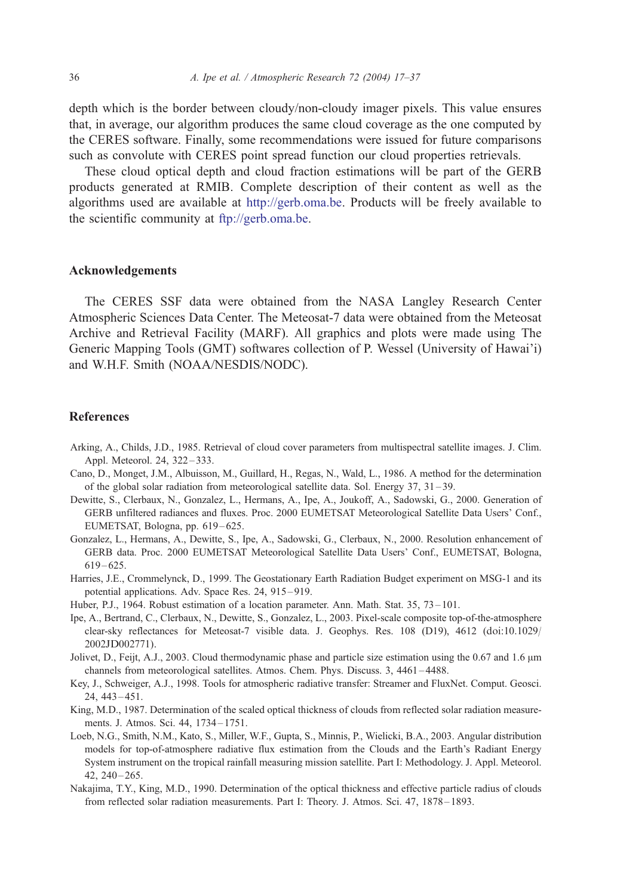<span id="page-19-0"></span>depth which is the border between cloudy/non-cloudy imager pixels. This value ensures that, in average, our algorithm produces the same cloud coverage as the one computed by the CERES software. Finally, some recommendations were issued for future comparisons such as convolute with CERES point spread function our cloud properties retrievals.

These cloud optical depth and cloud fraction estimations will be part of the GERB products generated at RMIB. Complete description of their content as well as the algorithms used are available at [http://gerb.oma.be.](http://www.gerb.oma.be) Products will be freely available to the scientific community at [ftp://gerb.oma.be.](ftp://www.gerb.oma.be)

#### Acknowledgements

The CERES SSF data were obtained from the NASA Langley Research Center Atmospheric Sciences Data Center. The Meteosat-7 data were obtained from the Meteosat Archive and Retrieval Facility (MARF). All graphics and plots were made using The Generic Mapping Tools (GMT) softwares collection of P. Wessel (University of Hawai'i) and W.H.F. Smith (NOAA/NESDIS/NODC).

#### References

- Arking, A., Childs, J.D., 1985. Retrieval of cloud cover parameters from multispectral satellite images. J. Clim. Appl. Meteorol. 24, 322-333.
- Cano, D., Monget, J.M., Albuisson, M., Guillard, H., Regas, N., Wald, L., 1986. A method for the determination of the global solar radiation from meteorological satellite data. Sol. Energy 37, 31 – 39.
- Dewitte, S., Clerbaux, N., Gonzalez, L., Hermans, A., Ipe, A., Joukoff, A., Sadowski, G., 2000. Generation of GERB unfiltered radiances and fluxes. Proc. 2000 EUMETSAT Meteorological Satellite Data Users' Conf., EUMETSAT, Bologna, pp. 619 – 625.
- Gonzalez, L., Hermans, A., Dewitte, S., Ipe, A., Sadowski, G., Clerbaux, N., 2000. Resolution enhancement of GERB data. Proc. 2000 EUMETSAT Meteorological Satellite Data Users' Conf., EUMETSAT, Bologna,  $619 - 625.$
- Harries, J.E., Crommelynck, D., 1999. The Geostationary Earth Radiation Budget experiment on MSG-1 and its potential applications. Adv. Space Res. 24, 915 – 919.
- Huber, P.J., 1964. Robust estimation of a location parameter. Ann. Math. Stat. 35, 73 101.
- Ipe, A., Bertrand, C., Clerbaux, N., Dewitte, S., Gonzalez, L., 2003. Pixel-scale composite top-of-the-atmosphere clear-sky reflectances for Meteosat-7 visible data. J. Geophys. Res. 108 (D19), 4612 (doi:10.1029/ 2002JD002771).
- Jolivet, D., Feijt, A.J., 2003. Cloud thermodynamic phase and particle size estimation using the 0.67 and 1.6  $\mu$ m channels from meteorological satellites. Atmos. Chem. Phys. Discuss. 3, 4461 – 4488.
- Key, J., Schweiger, A.J., 1998. Tools for atmospheric radiative transfer: Streamer and FluxNet. Comput. Geosci. 24, 443 – 451.
- King, M.D., 1987. Determination of the scaled optical thickness of clouds from reflected solar radiation measurements. J. Atmos. Sci. 44, 1734 – 1751.
- Loeb, N.G., Smith, N.M., Kato, S., Miller, W.F., Gupta, S., Minnis, P., Wielicki, B.A., 2003. Angular distribution models for top-of-atmosphere radiative flux estimation from the Clouds and the Earth's Radiant Energy System instrument on the tropical rainfall measuring mission satellite. Part I: Methodology. J. Appl. Meteorol.  $42, 240 - 265.$
- Nakajima, T.Y., King, M.D., 1990. Determination of the optical thickness and effective particle radius of clouds from reflected solar radiation measurements. Part I: Theory. J. Atmos. Sci. 47, 1878 – 1893.